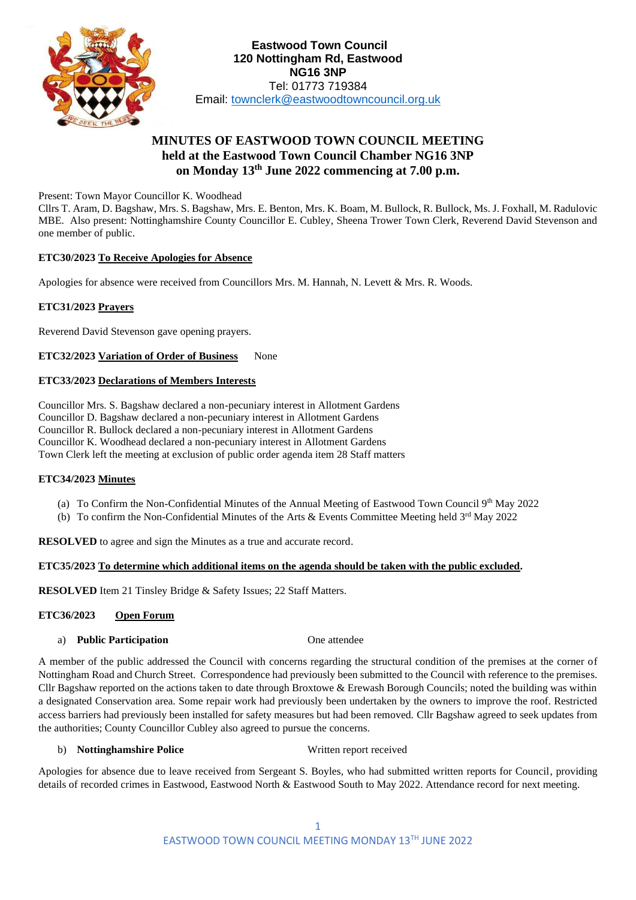

# **MINUTES OF EASTWOOD TOWN COUNCIL MEETING held at the Eastwood Town Council Chamber NG16 3NP on Monday 13th June 2022 commencing at 7.00 p.m.**

Present: Town Mayor Councillor K. Woodhead

Cllrs T. Aram, D. Bagshaw, Mrs. S. Bagshaw, Mrs. E. Benton, Mrs. K. Boam, M. Bullock, R. Bullock, Ms. J. Foxhall, M. Radulovic MBE. Also present: Nottinghamshire County Councillor E. Cubley, Sheena Trower Town Clerk, Reverend David Stevenson and one member of public.

# **ETC30/2023 To Receive Apologies for Absence**

Apologies for absence were received from Councillors Mrs. M. Hannah, N. Levett & Mrs. R. Woods.

# **ETC31/2023 Prayers**

Reverend David Stevenson gave opening prayers.

**ETC32/2023 Variation of Order of Business** None

# **ETC33/2023 Declarations of Members Interests**

Councillor Mrs. S. Bagshaw declared a non-pecuniary interest in Allotment Gardens Councillor D. Bagshaw declared a non-pecuniary interest in Allotment Gardens Councillor R. Bullock declared a non-pecuniary interest in Allotment Gardens Councillor K. Woodhead declared a non-pecuniary interest in Allotment Gardens Town Clerk left the meeting at exclusion of public order agenda item 28 Staff matters

# **ETC34/2023 Minutes**

- (a) To Confirm the Non-Confidential Minutes of the Annual Meeting of Eastwood Town Council 9th May 2022
- (b) To confirm the Non-Confidential Minutes of the Arts & Events Committee Meeting held 3rd May 2022

**RESOLVED** to agree and sign the Minutes as a true and accurate record.

# **ETC35/2023 To determine which additional items on the agenda should be taken with the public excluded.**

**RESOLVED** Item 21 Tinsley Bridge & Safety Issues; 22 Staff Matters.

# **ETC36/2023 Open Forum**

# a) **Public Participation** One attendee

A member of the public addressed the Council with concerns regarding the structural condition of the premises at the corner of Nottingham Road and Church Street. Correspondence had previously been submitted to the Council with reference to the premises. Cllr Bagshaw reported on the actions taken to date through Broxtowe & Erewash Borough Councils; noted the building was within a designated Conservation area. Some repair work had previously been undertaken by the owners to improve the roof. Restricted access barriers had previously been installed for safety measures but had been removed. Cllr Bagshaw agreed to seek updates from the authorities; County Councillor Cubley also agreed to pursue the concerns.

# b) **Nottinghamshire Police** Written report received

Apologies for absence due to leave received from Sergeant S. Boyles, who had submitted written reports for Council, providing details of recorded crimes in Eastwood, Eastwood North & Eastwood South to May 2022. Attendance record for next meeting.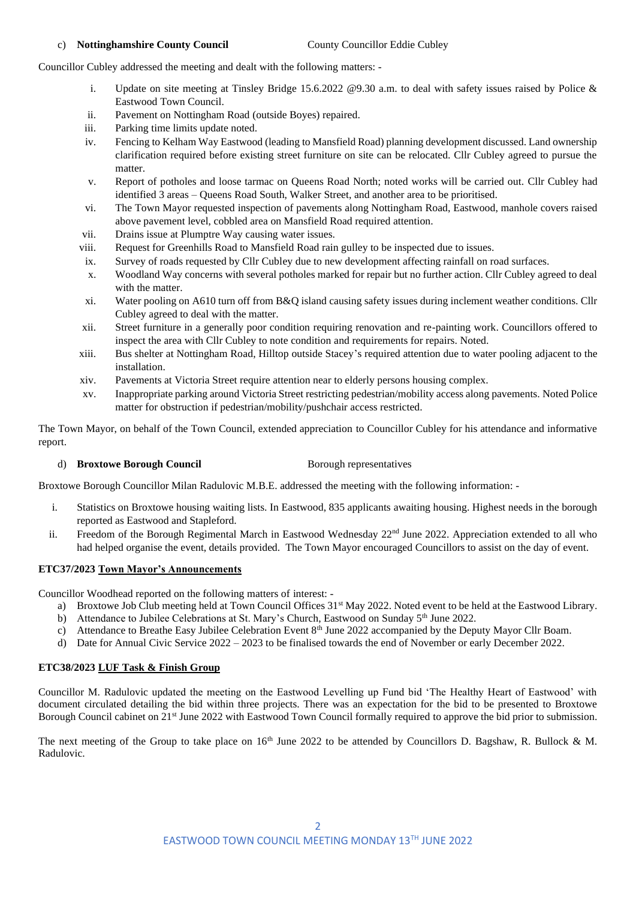#### c) **Nottinghamshire County Council** County Councillor Eddie Cubley

Councillor Cubley addressed the meeting and dealt with the following matters: -

- i. Update on site meeting at Tinsley Bridge 15.6.2022 @9.30 a.m. to deal with safety issues raised by Police & Eastwood Town Council.
- ii. Pavement on Nottingham Road (outside Boyes) repaired.
- iii. Parking time limits update noted.
- iv. Fencing to Kelham Way Eastwood (leading to Mansfield Road) planning development discussed. Land ownership clarification required before existing street furniture on site can be relocated. Cllr Cubley agreed to pursue the matter.
- v. Report of potholes and loose tarmac on Queens Road North; noted works will be carried out. Cllr Cubley had identified 3 areas – Queens Road South, Walker Street, and another area to be prioritised.
- vi. The Town Mayor requested inspection of pavements along Nottingham Road, Eastwood, manhole covers raised above pavement level, cobbled area on Mansfield Road required attention.
- vii. Drains issue at Plumptre Way causing water issues.
- viii. Request for Greenhills Road to Mansfield Road rain gulley to be inspected due to issues.
- ix. Survey of roads requested by Cllr Cubley due to new development affecting rainfall on road surfaces.
- x. Woodland Way concerns with several potholes marked for repair but no further action. Cllr Cubley agreed to deal with the matter.
- xi. Water pooling on A610 turn off from B&Q island causing safety issues during inclement weather conditions. Cllr Cubley agreed to deal with the matter.
- xii. Street furniture in a generally poor condition requiring renovation and re-painting work. Councillors offered to inspect the area with Cllr Cubley to note condition and requirements for repairs. Noted.
- xiii. Bus shelter at Nottingham Road, Hilltop outside Stacey's required attention due to water pooling adjacent to the installation.
- xiv. Pavements at Victoria Street require attention near to elderly persons housing complex.
- xv. Inappropriate parking around Victoria Street restricting pedestrian/mobility access along pavements. Noted Police matter for obstruction if pedestrian/mobility/pushchair access restricted.

The Town Mayor, on behalf of the Town Council, extended appreciation to Councillor Cubley for his attendance and informative report.

#### d) **Broxtowe Borough Council** Borough representatives

Broxtowe Borough Councillor Milan Radulovic M.B.E. addressed the meeting with the following information: -

- i. Statistics on Broxtowe housing waiting lists. In Eastwood, 835 applicants awaiting housing. Highest needs in the borough reported as Eastwood and Stapleford.
- ii. Freedom of the Borough Regimental March in Eastwood Wednesday 22<sup>nd</sup> June 2022. Appreciation extended to all who had helped organise the event, details provided. The Town Mayor encouraged Councillors to assist on the day of event.

#### **ETC37/2023 Town Mayor's Announcements**

Councillor Woodhead reported on the following matters of interest: -

- a) Broxtowe Job Club meeting held at Town Council Offices 31st May 2022. Noted event to be held at the Eastwood Library.
- b) Attendance to Jubilee Celebrations at St. Mary's Church, Eastwood on Sunday 5<sup>th</sup> June 2022.
- c) Attendance to Breathe Easy Jubilee Celebration Event  $8<sup>th</sup>$  June 2022 accompanied by the Deputy Mayor Cllr Boam.
- d) Date for Annual Civic Service 2022 2023 to be finalised towards the end of November or early December 2022.

# **ETC38/2023 LUF Task & Finish Group**

Councillor M. Radulovic updated the meeting on the Eastwood Levelling up Fund bid 'The Healthy Heart of Eastwood' with document circulated detailing the bid within three projects. There was an expectation for the bid to be presented to Broxtowe Borough Council cabinet on 21st June 2022 with Eastwood Town Council formally required to approve the bid prior to submission.

The next meeting of the Group to take place on  $16<sup>th</sup>$  June 2022 to be attended by Councillors D. Bagshaw, R. Bullock & M. Radulovic.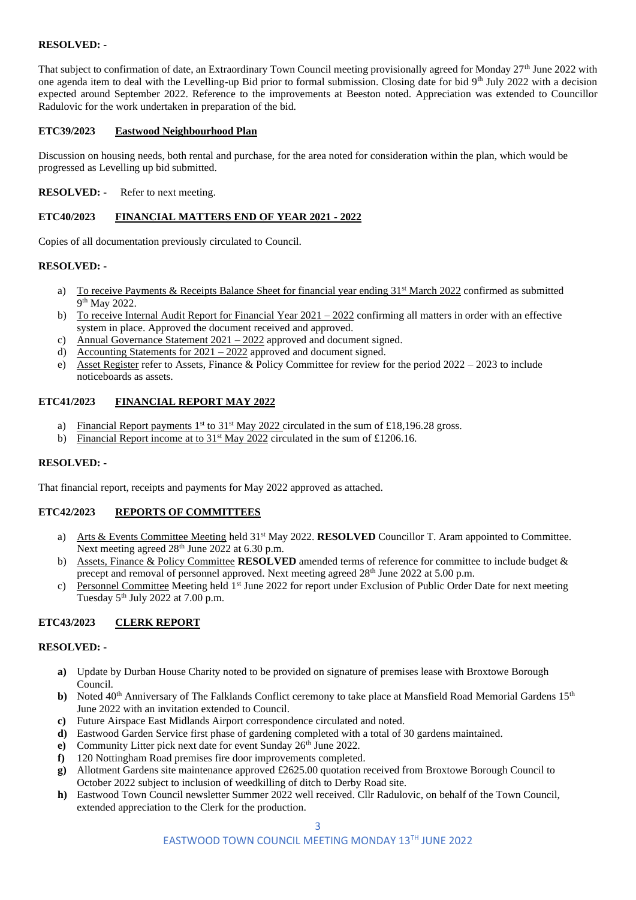# **RESOLVED: -**

That subject to confirmation of date, an Extraordinary Town Council meeting provisionally agreed for Monday  $27<sup>th</sup>$  June 2022 with one agenda item to deal with the Levelling-up Bid prior to formal submission. Closing date for bid 9th July 2022 with a decision expected around September 2022. Reference to the improvements at Beeston noted. Appreciation was extended to Councillor Radulovic for the work undertaken in preparation of the bid.

# **ETC39/2023 Eastwood Neighbourhood Plan**

Discussion on housing needs, both rental and purchase, for the area noted for consideration within the plan, which would be progressed as Levelling up bid submitted.

## **RESOLVED:** - Refer to next meeting.

#### **ETC40/2023 FINANCIAL MATTERS END OF YEAR 2021 - 2022**

Copies of all documentation previously circulated to Council.

#### **RESOLVED: -**

- a) To receive Payments & Receipts Balance Sheet for financial year ending  $31<sup>st</sup>$  March 2022 confirmed as submitted 9<sup>th</sup> May 2022.
- b) To receive Internal Audit Report for Financial Year  $2021 2022$  confirming all matters in order with an effective system in place. Approved the document received and approved.
- c) Annual Governance Statement 2021 2022 approved and document signed.
- d) Accounting Statements for  $2021 2022$  approved and document signed.
- e) Asset Register refer to Assets, Finance & Policy Committee for review for the period 2022 2023 to include noticeboards as assets.

#### **ETC41/2023 FINANCIAL REPORT MAY 2022**

- a) Financial Report payments  $1<sup>st</sup>$  to  $31<sup>st</sup>$  May 2022 circulated in the sum of £18,196.28 gross.
- Financial Report income at to  $31<sup>st</sup>$  May 2022 circulated in the sum of £1206.16.

#### **RESOLVED: -**

That financial report, receipts and payments for May 2022 approved as attached.

# **ETC42/2023 REPORTS OF COMMITTEES**

- a) Arts & Events Committee Meeting held 31st May 2022. **RESOLVED** Councillor T. Aram appointed to Committee. Next meeting agreed 28<sup>th</sup> June 2022 at 6.30 p.m.
- b) Assets, Finance & Policy Committee **RESOLVED** amended terms of reference for committee to include budget & precept and removal of personnel approved. Next meeting agreed 28th June 2022 at 5.00 p.m.
- c) Personnel Committee Meeting held 1st June 2022 for report under Exclusion of Public Order Date for next meeting Tuesday  $5<sup>th</sup>$  July 2022 at 7.00 p.m.

# **ETC43/2023 CLERK REPORT**

#### **RESOLVED: -**

- **a)** Update by Durban House Charity noted to be provided on signature of premises lease with Broxtowe Borough Council.
- **b**) Noted 40<sup>th</sup> Anniversary of The Falklands Conflict ceremony to take place at Mansfield Road Memorial Gardens 15<sup>th</sup> June 2022 with an invitation extended to Council.
- **c)** Future Airspace East Midlands Airport correspondence circulated and noted.
- **d)** Eastwood Garden Service first phase of gardening completed with a total of 30 gardens maintained.
- **e**) Community Litter pick next date for event Sunday 26<sup>th</sup> June 2022.
- **f)** 120 Nottingham Road premises fire door improvements completed.
- **g)** Allotment Gardens site maintenance approved £2625.00 quotation received from Broxtowe Borough Council to October 2022 subject to inclusion of weedkilling of ditch to Derby Road site.
- **h)** Eastwood Town Council newsletter Summer 2022 well received. Cllr Radulovic, on behalf of the Town Council, extended appreciation to the Clerk for the production.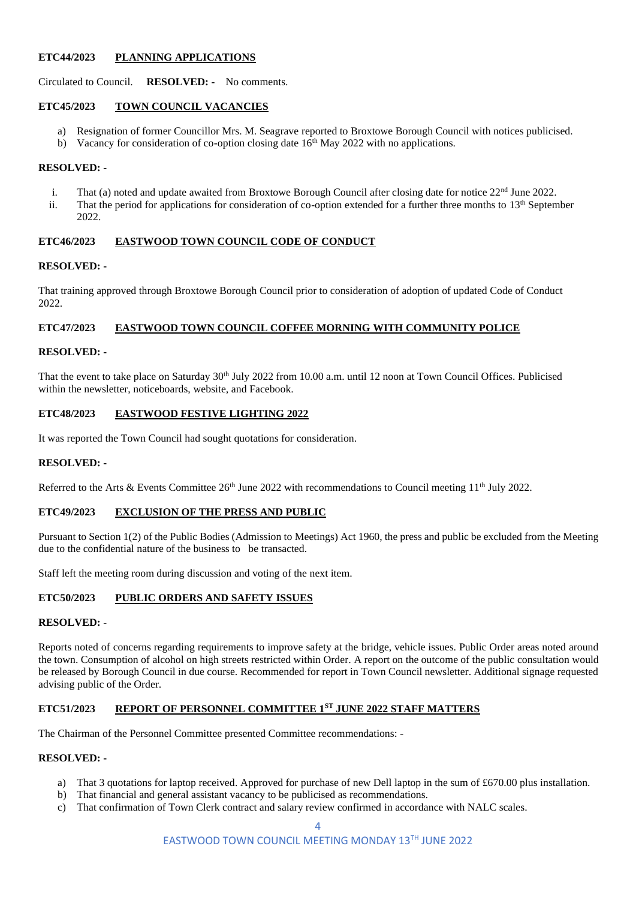## **ETC44/2023 PLANNING APPLICATIONS**

Circulated to Council. **RESOLVED: -** No comments.

# **ETC45/2023 TOWN COUNCIL VACANCIES**

- a) Resignation of former Councillor Mrs. M. Seagrave reported to Broxtowe Borough Council with notices publicised.
- b) Vacancy for consideration of co-option closing date  $16<sup>th</sup>$  May 2022 with no applications.

#### **RESOLVED: -**

- i. That (a) noted and update awaited from Broxtowe Borough Council after closing date for notice  $22<sup>nd</sup>$  June 2022.
- ii. That the period for applications for consideration of co-option extended for a further three months to 13<sup>th</sup> September 2022.

#### **ETC46/2023 EASTWOOD TOWN COUNCIL CODE OF CONDUCT**

#### **RESOLVED: -**

That training approved through Broxtowe Borough Council prior to consideration of adoption of updated Code of Conduct 2022

# **ETC47/2023 EASTWOOD TOWN COUNCIL COFFEE MORNING WITH COMMUNITY POLICE**

#### **RESOLVED: -**

That the event to take place on Saturday  $30<sup>th</sup>$  July 2022 from 10.00 a.m. until 12 noon at Town Council Offices. Publicised within the newsletter, noticeboards, website, and Facebook.

## **ETC48/2023 EASTWOOD FESTIVE LIGHTING 2022**

It was reported the Town Council had sought quotations for consideration.

#### **RESOLVED: -**

Referred to the Arts & Events Committee 26<sup>th</sup> June 2022 with recommendations to Council meeting 11<sup>th</sup> July 2022.

# **ETC49/2023 EXCLUSION OF THE PRESS AND PUBLIC**

Pursuant to Section 1(2) of the Public Bodies (Admission to Meetings) Act 1960, the press and public be excluded from the Meeting due to the confidential nature of the business to be transacted.

Staff left the meeting room during discussion and voting of the next item.

# **ETC50/2023 PUBLIC ORDERS AND SAFETY ISSUES**

#### **RESOLVED: -**

Reports noted of concerns regarding requirements to improve safety at the bridge, vehicle issues. Public Order areas noted around the town. Consumption of alcohol on high streets restricted within Order. A report on the outcome of the public consultation would be released by Borough Council in due course. Recommended for report in Town Council newsletter. Additional signage requested advising public of the Order.

# **ETC51/2023 REPORT OF PERSONNEL COMMITTEE 1ST JUNE 2022 STAFF MATTERS**

The Chairman of the Personnel Committee presented Committee recommendations: -

#### **RESOLVED: -**

- a) That 3 quotations for laptop received. Approved for purchase of new Dell laptop in the sum of £670.00 plus installation.
- b) That financial and general assistant vacancy to be publicised as recommendations.
- c) That confirmation of Town Clerk contract and salary review confirmed in accordance with NALC scales.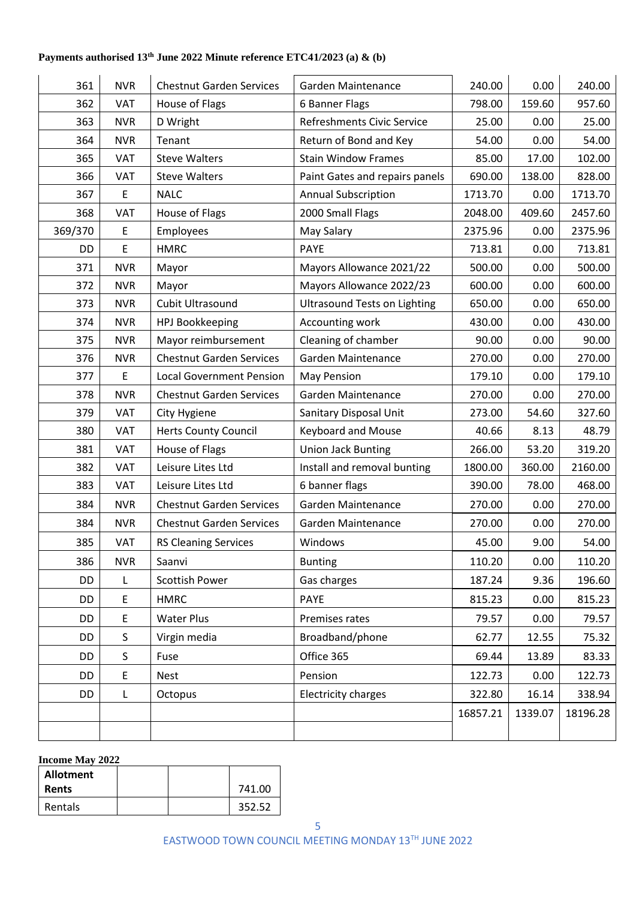# **Payments authorised 13th June 2022 Minute reference ETC41/2023 (a) & (b)**

| 361       | <b>NVR</b>  | <b>Chestnut Garden Services</b> | Garden Maintenance                  | 240.00   | 0.00    | 240.00   |
|-----------|-------------|---------------------------------|-------------------------------------|----------|---------|----------|
| 362       | VAT         | House of Flags                  | 6 Banner Flags                      | 798.00   | 159.60  | 957.60   |
| 363       | <b>NVR</b>  | D Wright                        | Refreshments Civic Service          | 25.00    | 0.00    | 25.00    |
| 364       | <b>NVR</b>  | Tenant                          | Return of Bond and Key              | 54.00    | 0.00    | 54.00    |
| 365       | <b>VAT</b>  | <b>Steve Walters</b>            | <b>Stain Window Frames</b>          | 85.00    | 17.00   | 102.00   |
| 366       | VAT         | <b>Steve Walters</b>            | Paint Gates and repairs panels      | 690.00   | 138.00  | 828.00   |
| 367       | $\mathsf E$ | <b>NALC</b>                     | <b>Annual Subscription</b>          | 1713.70  | 0.00    | 1713.70  |
| 368       | <b>VAT</b>  | House of Flags                  | 2000 Small Flags                    | 2048.00  | 409.60  | 2457.60  |
| 369/370   | E           | <b>Employees</b>                | May Salary                          | 2375.96  | 0.00    | 2375.96  |
| DD        | E           | <b>HMRC</b>                     | <b>PAYE</b>                         | 713.81   | 0.00    | 713.81   |
| 371       | <b>NVR</b>  | Mayor                           | Mayors Allowance 2021/22            | 500.00   | 0.00    | 500.00   |
| 372       | <b>NVR</b>  | Mayor                           | Mayors Allowance 2022/23            | 600.00   | 0.00    | 600.00   |
| 373       | <b>NVR</b>  | Cubit Ultrasound                | <b>Ultrasound Tests on Lighting</b> | 650.00   | 0.00    | 650.00   |
| 374       | <b>NVR</b>  | HPJ Bookkeeping                 | Accounting work                     | 430.00   | 0.00    | 430.00   |
| 375       | <b>NVR</b>  | Mayor reimbursement             | Cleaning of chamber                 | 90.00    | 0.00    | 90.00    |
| 376       | <b>NVR</b>  | <b>Chestnut Garden Services</b> | Garden Maintenance                  | 270.00   | 0.00    | 270.00   |
| 377       | E           | <b>Local Government Pension</b> | May Pension                         | 179.10   | 0.00    | 179.10   |
| 378       | <b>NVR</b>  | <b>Chestnut Garden Services</b> | Garden Maintenance                  | 270.00   | 0.00    | 270.00   |
| 379       | VAT         | City Hygiene                    | Sanitary Disposal Unit              | 273.00   | 54.60   | 327.60   |
| 380       | VAT         | <b>Herts County Council</b>     | Keyboard and Mouse                  | 40.66    | 8.13    | 48.79    |
| 381       | <b>VAT</b>  | House of Flags                  | <b>Union Jack Bunting</b>           | 266.00   | 53.20   | 319.20   |
| 382       | VAT         | Leisure Lites Ltd               | Install and removal bunting         | 1800.00  | 360.00  | 2160.00  |
| 383       | <b>VAT</b>  | Leisure Lites Ltd               | 6 banner flags                      | 390.00   | 78.00   | 468.00   |
| 384       | <b>NVR</b>  | <b>Chestnut Garden Services</b> | Garden Maintenance                  | 270.00   | 0.00    | 270.00   |
| 384       | <b>NVR</b>  | <b>Chestnut Garden Services</b> | Garden Maintenance                  | 270.00   | 0.00    | 270.00   |
| 385       | <b>VAT</b>  | <b>RS Cleaning Services</b>     | Windows                             | 45.00    | 9.00    | 54.00    |
| 386       | <b>NVR</b>  | Saanvi                          | <b>Bunting</b>                      | 110.20   | 0.00    | 110.20   |
| DD        | L           | <b>Scottish Power</b>           | Gas charges                         | 187.24   | 9.36    | 196.60   |
| DD        | $\mathsf E$ | <b>HMRC</b>                     | <b>PAYE</b>                         | 815.23   | 0.00    | 815.23   |
| DD        | E           | <b>Water Plus</b>               | Premises rates                      | 79.57    | 0.00    | 79.57    |
| <b>DD</b> | S           | Virgin media                    | Broadband/phone                     | 62.77    | 12.55   | 75.32    |
| DD        | S           | Fuse                            | Office 365                          | 69.44    | 13.89   | 83.33    |
| DD        | E           | <b>Nest</b>                     | Pension                             | 122.73   | 0.00    | 122.73   |
| DD        | L           | Octopus                         | <b>Electricity charges</b>          | 322.80   | 16.14   | 338.94   |
|           |             |                                 |                                     | 16857.21 | 1339.07 | 18196.28 |
|           |             |                                 |                                     |          |         |          |
|           |             |                                 |                                     |          |         |          |

# **Income May 2022**

| Allotment    |  |        |
|--------------|--|--------|
| <b>Rents</b> |  | 741.00 |
| Rentals      |  | 352.52 |

EASTWOOD TOWN COUNCIL MEETING MONDAY 13TH JUNE 2022